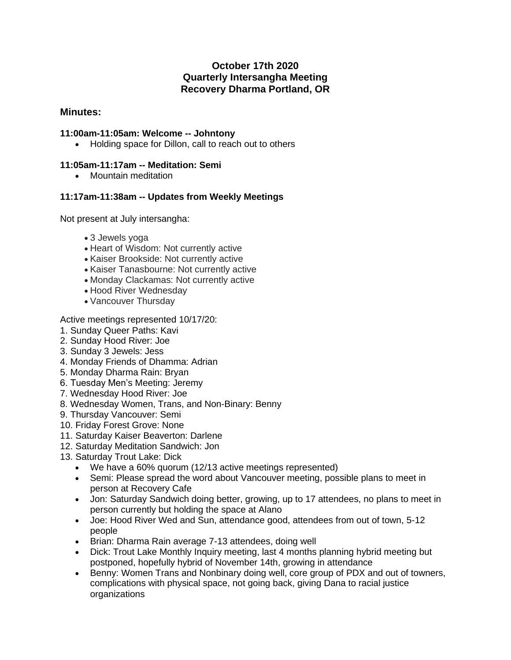# **October 17th 2020 Quarterly Intersangha Meeting Recovery Dharma Portland, OR**

## **Minutes:**

### **11:00am-11:05am: Welcome -- Johntony**

• Holding space for Dillon, call to reach out to others

#### **11:05am-11:17am -- Meditation: Semi**

• Mountain meditation

### **11:17am-11:38am -- Updates from Weekly Meetings**

Not present at July intersangha:

- 3 Jewels yoga
- Heart of Wisdom: Not currently active
- Kaiser Brookside: Not currently active
- Kaiser Tanasbourne: Not currently active
- Monday Clackamas: Not currently active
- Hood River Wednesday
- Vancouver Thursday

Active meetings represented 10/17/20:

- 1. Sunday Queer Paths: Kavi
- 2. Sunday Hood River: Joe
- 3. Sunday 3 Jewels: Jess
- 4. Monday Friends of Dhamma: Adrian
- 5. Monday Dharma Rain: Bryan
- 6. Tuesday Men's Meeting: Jeremy
- 7. Wednesday Hood River: Joe
- 8. Wednesday Women, Trans, and Non-Binary: Benny
- 9. Thursday Vancouver: Semi
- 10. Friday Forest Grove: None
- 11. Saturday Kaiser Beaverton: Darlene
- 12. Saturday Meditation Sandwich: Jon
- 13. Saturday Trout Lake: Dick
	- We have a 60% quorum (12/13 active meetings represented)
	- Semi: Please spread the word about Vancouver meeting, possible plans to meet in person at Recovery Cafe
	- Jon: Saturday Sandwich doing better, growing, up to 17 attendees, no plans to meet in person currently but holding the space at Alano
	- Joe: Hood River Wed and Sun, attendance good, attendees from out of town, 5-12 people
	- Brian: Dharma Rain average 7-13 attendees, doing well
	- Dick: Trout Lake Monthly Inquiry meeting, last 4 months planning hybrid meeting but postponed, hopefully hybrid of November 14th, growing in attendance
	- Benny: Women Trans and Nonbinary doing well, core group of PDX and out of towners, complications with physical space, not going back, giving Dana to racial justice organizations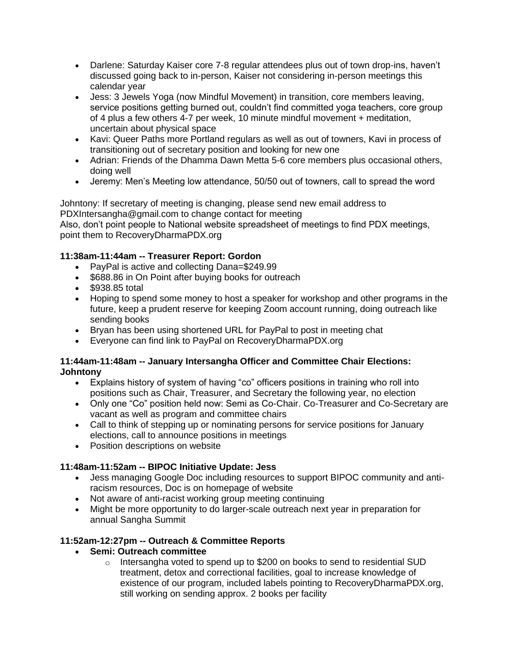- Darlene: Saturday Kaiser core 7-8 regular attendees plus out of town drop-ins, haven't discussed going back to in-person, Kaiser not considering in-person meetings this calendar year
- Jess: 3 Jewels Yoga (now Mindful Movement) in transition, core members leaving, service positions getting burned out, couldn't find committed yoga teachers, core group of 4 plus a few others 4-7 per week, 10 minute mindful movement + meditation, uncertain about physical space
- Kavi: Queer Paths more Portland regulars as well as out of towners, Kavi in process of transitioning out of secretary position and looking for new one
- Adrian: Friends of the Dhamma Dawn Metta 5-6 core members plus occasional others, doing well
- Jeremy: Men's Meeting low attendance, 50/50 out of towners, call to spread the word

Johntony: If secretary of meeting is changing, please send new email address to PDXIntersangha@gmail.com to change contact for meeting

Also, don't point people to National website spreadsheet of meetings to find PDX meetings, point them to RecoveryDharmaPDX.org

## **11:38am-11:44am -- Treasurer Report: Gordon**

- PayPal is active and collecting Dana=\$249.99
- \$688.86 in On Point after buying books for outreach
- \$938.85 total
- Hoping to spend some money to host a speaker for workshop and other programs in the future, keep a prudent reserve for keeping Zoom account running, doing outreach like sending books
- Bryan has been using shortened URL for PayPal to post in meeting chat
- Everyone can find link to PayPal on RecoveryDharmaPDX.org

#### **11:44am-11:48am -- January Intersangha Officer and Committee Chair Elections: Johntony**

- Explains history of system of having "co" officers positions in training who roll into positions such as Chair, Treasurer, and Secretary the following year, no election
- Only one "Co" position held now: Semi as Co-Chair. Co-Treasurer and Co-Secretary are vacant as well as program and committee chairs
- Call to think of stepping up or nominating persons for service positions for January elections, call to announce positions in meetings
- Position descriptions on website

### **11:48am-11:52am -- BIPOC Initiative Update: Jess**

- Jess managing Google Doc including resources to support BIPOC community and antiracism resources, Doc is on homepage of website
- Not aware of anti-racist working group meeting continuing
- Might be more opportunity to do larger-scale outreach next year in preparation for annual Sangha Summit

### **11:52am-12:27pm -- Outreach & Committee Reports**

- **Semi: Outreach committee**
	- $\circ$  Intersangha voted to spend up to \$200 on books to send to residential SUD treatment, detox and correctional facilities, goal to increase knowledge of existence of our program, included labels pointing to RecoveryDharmaPDX.org, still working on sending approx. 2 books per facility